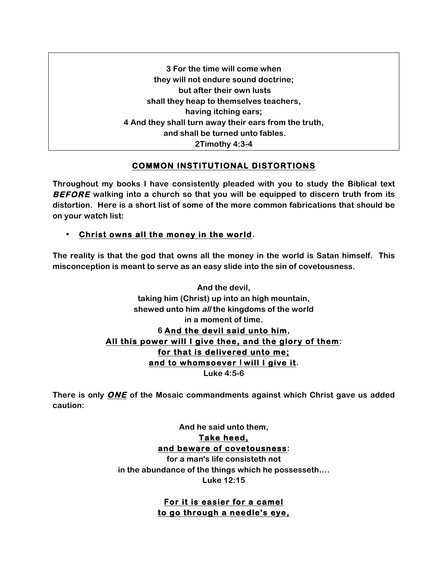**3 For the time will come when they will not endure sound doctrine; but after their own lusts shall they heap to themselves teachers, having itching ears; 4 And they shall turn away their ears from the truth, and shall be turned unto fables. 2Timothy 4:3-4**

# **COMMON INSTITUTIONAL DISTORTIONS**

**Throughout my books I have consistently pleaded with you to study the Biblical text BEFORE walking into a church so that you will be equipped to discern truth from its distortion. Here is a short list of some of the more common fabrications that should be on your watch list:**

## • **Christ owns all the money in the world.**

**The reality is that the god that owns all the money in the world is Satan himself. This misconception is meant to serve as an easy slide into the sin of covetousness.**

> **And the devil, taking him (Christ) up into an high mountain, shewed unto him all the kingdoms of the world in a moment of time. 6 And the devil said unto him, All this power will I give thee, and the glory of them: for that is delivered unto me; and to whomsoever I will I give it. Luke 4:5-6**

**There is only ONE of the Mosaic commandments against which Christ gave us added caution:**

> **And he said unto them, Take heed, and beware of covetousness: for a man's life consisteth not in the abundance of the things which he possesseth….**

> > **Luke 12:15**

**For it is easier for a camel to go through a needle's eye,**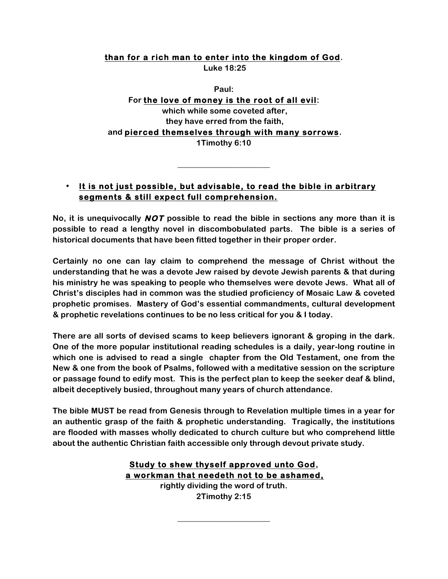### **than for a rich man to enter into the kingdom of God.**

**Luke 18:25**

**Paul: For the love of money is the root of all evil: which while some coveted after, they have erred from the faith, and pierced themselves through with many sorrows. 1Timothy 6:10**

## • **It is not just possible, but advisable, to read the bible in arbitrary segments & still expect full comprehension.**

**\_\_\_\_\_\_\_\_\_\_\_\_\_\_\_\_\_\_\_\_\_\_\_**

**No, it is unequivocally NOT possible to read the bible in sections any more than it is possible to read a lengthy novel in discombobulated parts. The bible is a series of historical documents that have been fitted together in their proper order.** 

**Certainly no one can lay claim to comprehend the message of Christ without the understanding that he was a devote Jew raised by devote Jewish parents & that during his ministry he was speaking to people who themselves were devote Jews. What all of Christ's disciples had in common was the studied proficiency of Mosaic Law & coveted prophetic promises. Mastery of God's essential commandments, cultural development & prophetic revelations continues to be no less critical for you & I today.**

**There are all sorts of devised scams to keep believers ignorant & groping in the dark. One of the more popular institutional reading schedules is a daily, year-long routine in which one is advised to read a single chapter from the Old Testament, one from the New & one from the book of Psalms, followed with a meditative session on the scripture or passage found to edify most. This is the perfect plan to keep the seeker deaf & blind, albeit deceptively busied, throughout many years of church attendance.**

**The bible MUST be read from Genesis through to Revelation multiple times in a year for an authentic grasp of the faith & prophetic understanding. Tragically, the institutions are flooded with masses wholly dedicated to church culture but who comprehend little about the authentic Christian faith accessible only through devout private study.** 

## **Study to shew thyself approved unto God, a workman that needeth not to be ashamed, rightly dividing the word of truth. 2Timothy 2:15**

**\_\_\_\_\_\_\_\_\_\_\_\_\_\_\_\_\_\_\_\_\_\_\_**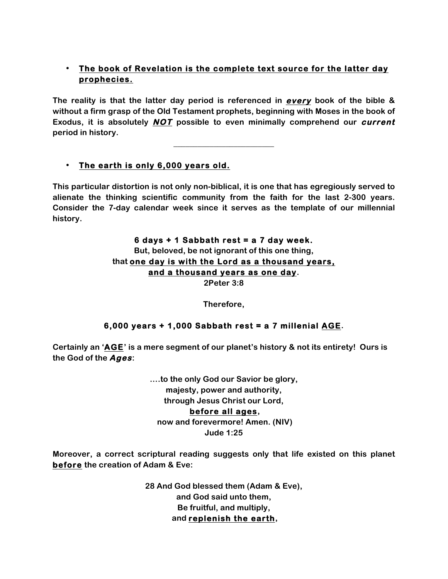# • **The book of Revelation is the complete text source for the latter day prophecies.**

**The reality is that the latter day period is referenced in every book of the bible & without a firm grasp of the Old Testament prophets, beginning with Moses in the book of Exodus, it is absolutely NOT possible to even minimally comprehend our current period in history.**

**\_\_\_\_\_\_\_\_\_\_\_\_\_\_\_\_\_\_\_\_\_\_\_\_\_**

## • **The earth is only 6,000 years old.**

**This particular distortion is not only non-biblical, it is one that has egregiously served to alienate the thinking scientific community from the faith for the last 2-300 years. Consider the 7-day calendar week since it serves as the template of our millennial history.**

# **6 days + 1 Sabbath rest = a 7 day week. But, beloved, be not ignorant of this one thing, that one day is with the Lord as a thousand years, and a thousand years as one day.**

**2Peter 3:8**

**Therefore,**

## **6,000 years + 1,000 Sabbath rest = a 7 millenial AGE.**

**Certainly an 'AGE' is a mere segment of our planet's history & not its entirety! Ours is the God of the Ages:** 

> **….to the only God our Savior be glory, majesty, power and authority, through Jesus Christ our Lord, before all ages, now and forevermore! Amen. (NIV) Jude 1:25**

**Moreover, a correct scriptural reading suggests only that life existed on this planet before the creation of Adam & Eve:**

> **28 And God blessed them (Adam & Eve), and God said unto them, Be fruitful, and multiply, and replenish the earth,**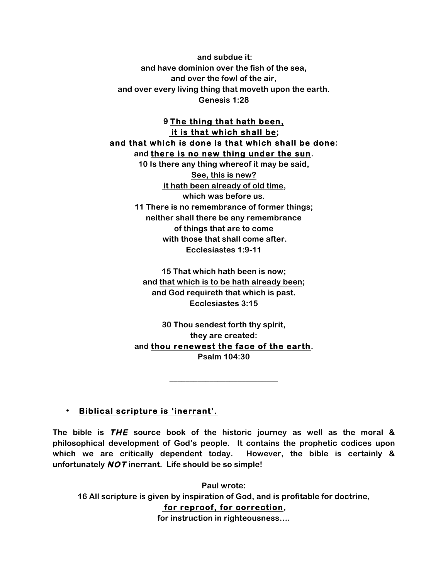**and subdue it: and have dominion over the fish of the sea, and over the fowl of the air, and over every living thing that moveth upon the earth. Genesis 1:28**

### **9 The thing that hath been, it is that which shall be; and that which is done is that which shall be done: and there is no new thing under the sun.**

**10 Is there any thing whereof it may be said, See, this is new? it hath been already of old time, which was before us. 11 There is no remembrance of former things; neither shall there be any remembrance of things that are to come with those that shall come after. Ecclesiastes 1:9-11**

**15 That which hath been is now; and that which is to be hath already been; and God requireth that which is past. Ecclesiastes 3:15**

**30 Thou sendest forth thy spirit, they are created: and thou renewest the face of the earth. Psalm 104:30**

**\_\_\_\_\_\_\_\_\_\_\_\_\_\_\_\_\_\_\_\_\_\_\_\_\_\_\_**

### • **Biblical scripture is 'inerrant'.**

**The bible is THE source book of the historic journey as well as the moral & philosophical development of God's people. It contains the prophetic codices upon which we are critically dependent today. However, the bible is certainly & unfortunately NOT inerrant. Life should be so simple!** 

**Paul wrote: 16 All scripture is given by inspiration of God, and is profitable for doctrine, for reproof, for correction,** 

**for instruction in righteousness….**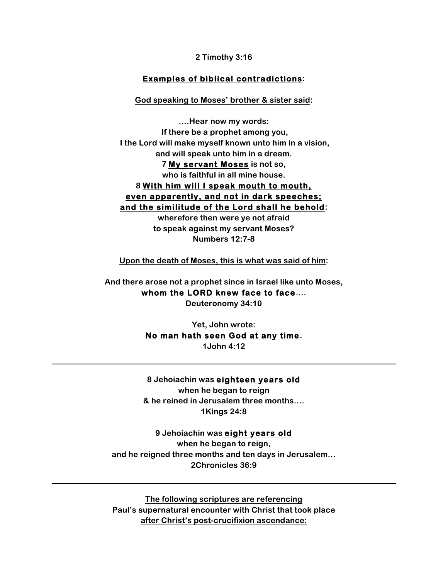**2 Timothy 3:16**

### **Examples of biblical contradictions:**

#### **God speaking to Moses' brother & sister said:**

**….Hear now my words: If there be a prophet among you, I the Lord will make myself known unto him in a vision, and will speak unto him in a dream.**

> **7 My servant Moses is not so, who is faithful in all mine house.**

# **8 With him will I speak mouth to mouth, even apparently, and not in dark speeches; and the similitude of the Lord shall he behold:**

**wherefore then were ye not afraid to speak against my servant Moses? Numbers 12:7-8**

**Upon the death of Moses, this is what was said of him:**

**And there arose not a prophet since in Israel like unto Moses, whom the LORD knew face to face….**

**Deuteronomy 34:10**

**Yet, John wrote: No man hath seen God at any time. 1John 4:12**

**8 Jehoiachin was eighteen years old when he began to reign & he reined in Jerusalem three months…. 1Kings 24:8**

**9 Jehoiachin was eight years old when he began to reign, and he reigned three months and ten days in Jerusalem… 2Chronicles 36:9**

**The following scriptures are referencing Paul's supernatural encounter with Christ that took place after Christ's post-crucifixion ascendance:**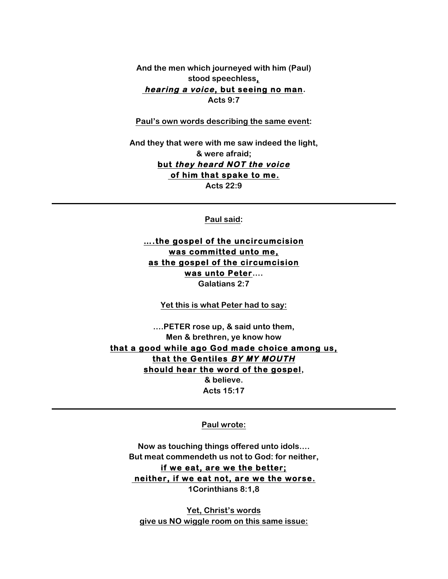**And the men which journeyed with him (Paul) stood speechless, hearing a voice, but seeing no man. Acts 9:7**

**Paul's own words describing the same event:**

**And they that were with me saw indeed the light, & were afraid; but they heard NOT the voice of him that spake to me. Acts 22:9**

**Paul said:**

**….the gospel of the uncircumcision was committed unto me, as the gospel of the circumcision was unto Peter…. Galatians 2:7**

**Yet this is what Peter had to say:**

**….PETER rose up, & said unto them, Men & brethren, ye know how that a good while ago God made choice among us, that the Gentiles BY MY MOUTH should hear the word of the gospel, & believe.**

**Acts 15:17**

**Paul wrote:**

**Now as touching things offered unto idols…. But meat commendeth us not to God: for neither, if we eat, are we the better; neither, if we eat not, are we the worse. 1Corinthians 8:1,8**

**Yet, Christ's words give us NO wiggle room on this same issue:**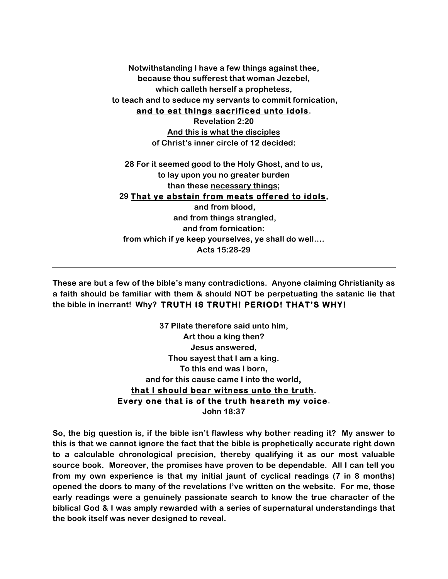**Notwithstanding I have a few things against thee, because thou sufferest that woman Jezebel, which calleth herself a prophetess, to teach and to seduce my servants to commit fornication, and to eat things sacrificed unto idols.**

**Revelation 2:20 And this is what the disciples of Christ's inner circle of 12 decided:**

**28 For it seemed good to the Holy Ghost, and to us, to lay upon you no greater burden than these necessary things;**

### **29 That ye abstain from meats offered to idols,**

**and from blood, and from things strangled, and from fornication: from which if ye keep yourselves, ye shall do well…. Acts 15:28-29**

**These are but a few of the bible's many contradictions. Anyone claiming Christianity as a faith should be familiar with them & should NOT be perpetuating the satanic lie that the bible in inerrant! Why? TRUTH IS TRUTH! PERIOD! THAT'S WHY!** 

> **37 Pilate therefore said unto him, Art thou a king then? Jesus answered, Thou sayest that I am a king. To this end was I born, and for this cause came I into the world, that I should bear witness unto the truth. Every one that is of the truth heareth my voice. John 18:37**

**So, the big question is, if the bible isn't flawless why bother reading it? My answer to this is that we cannot ignore the fact that the bible is prophetically accurate right down to a calculable chronological precision, thereby qualifying it as our most valuable source book. Moreover, the promises have proven to be dependable. All I can tell you from my own experience is that my initial jaunt of cyclical readings (7 in 8 months) opened the doors to many of the revelations I've written on the website. For me, those early readings were a genuinely passionate search to know the true character of the biblical God & I was amply rewarded with a series of supernatural understandings that the book itself was never designed to reveal.**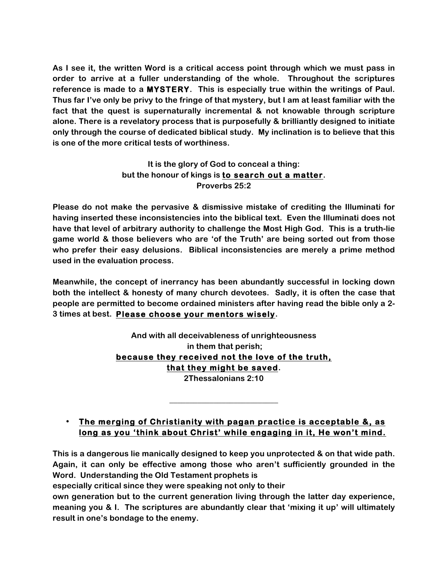**As I see it, the written Word is a critical access point through which we must pass in order to arrive at a fuller understanding of the whole. Throughout the scriptures reference is made to a MYSTERY. This is especially true within the writings of Paul. Thus far I've only be privy to the fringe of that mystery, but I am at least familiar with the fact that the quest is supernaturally incremental & not knowable through scripture alone. There is a revelatory process that is purposefully & brilliantly designed to initiate only through the course of dedicated biblical study. My inclination is to believe that this is one of the more critical tests of worthiness.**

## **It is the glory of God to conceal a thing: but the honour of kings is to search out a matter. Proverbs 25:2**

**Please do not make the pervasive & dismissive mistake of crediting the Illuminati for having inserted these inconsistencies into the biblical text. Even the Illuminati does not have that level of arbitrary authority to challenge the Most High God. This is a truth-lie game world & those believers who are 'of the Truth' are being sorted out from those who prefer their easy delusions. Biblical inconsistencies are merely a prime method used in the evaluation process.** 

**Meanwhile, the concept of inerrancy has been abundantly successful in locking down both the intellect & honesty of many church devotees. Sadly, it is often the case that people are permitted to become ordained ministers after having read the bible only a 2- 3 times at best. Please choose your mentors wisely.**

> **And with all deceivableness of unrighteousness in them that perish; because they received not the love of the truth, that they might be saved. 2Thessalonians 2:10**

# • **The merging of Christianity with pagan practice is acceptable &, as long as you 'think about Christ' while engaging in it, He won't mind.**

**\_\_\_\_\_\_\_\_\_\_\_\_\_\_\_\_\_\_\_\_\_\_\_\_\_\_\_**

**This is a dangerous lie manically designed to keep you unprotected & on that wide path. Again, it can only be effective among those who aren't sufficiently grounded in the Word. Understanding the Old Testament prophets is** 

**especially critical since they were speaking not only to their**

**own generation but to the current generation living through the latter day experience, meaning you & I. The scriptures are abundantly clear that 'mixing it up' will ultimately result in one's bondage to the enemy.**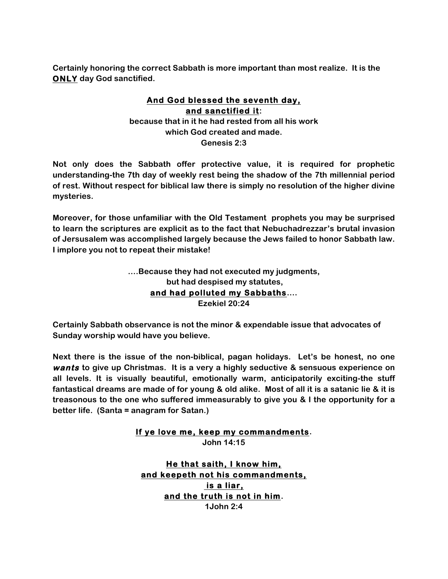**Certainly honoring the correct Sabbath is more important than most realize. It is the ONLY day God sanctified.**

## **And God blessed the seventh day, and sanctified it: because that in it he had rested from all his work which God created and made. Genesis 2:3**

**Not only does the Sabbath offer protective value, it is required for prophetic understanding-the 7th day of weekly rest being the shadow of the 7th millennial period of rest. Without respect for biblical law there is simply no resolution of the higher divine mysteries.**

**Moreover, for those unfamiliar with the Old Testament prophets you may be surprised to learn the scriptures are explicit as to the fact that Nebuchadrezzar's brutal invasion of Jersusalem was accomplished largely because the Jews failed to honor Sabbath law. I implore you not to repeat their mistake!** 

> **….Because they had not executed my judgments, but had despised my statutes, and had polluted my Sabbaths…. Ezekiel 20:24**

**Certainly Sabbath observance is not the minor & expendable issue that advocates of Sunday worship would have you believe.** 

**Next there is the issue of the non-biblical, pagan holidays. Let's be honest, no one wants to give up Christmas. It is a very a highly seductive & sensuous experience on all levels. It is visually beautiful, emotionally warm, anticipatorily exciting-the stuff fantastical dreams are made of for young & old alike. Most of all it is a satanic lie & it is treasonous to the one who suffered immeasurably to give you & I the opportunity for a better life. (Santa = anagram for Satan.)**

# **If ye love me, keep my commandments.**

**John 14:15**

**He that saith, I know him, and keepeth not his commandments, is a liar, and the truth is not in him. 1John 2:4**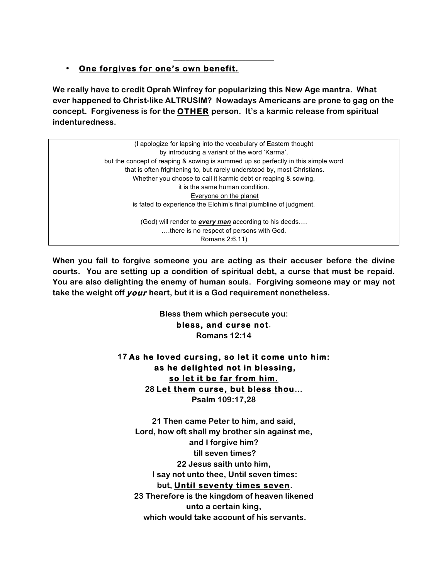## • **One forgives for one's own benefit.**

**We really have to credit Oprah Winfrey for popularizing this New Age mantra. What ever happened to Christ-like ALTRUSIM? Nowadays Americans are prone to gag on the concept. Forgiveness is for the OTHER person. It's a karmic release from spiritual indenturedness.** 

**\_\_\_\_\_\_\_\_\_\_\_\_\_\_\_\_\_\_\_\_\_\_\_\_\_**

(I apologize for lapsing into the vocabulary of Eastern thought by introducing a variant of the word 'Karma', but the concept of reaping & sowing is summed up so perfectly in this simple word that is often frightening to, but rarely understood by, most Christians. Whether you choose to call it karmic debt or reaping & sowing, it is the same human condition. Everyone on the planet is fated to experience the Elohim's final plumbline of judgment. (God) will render to *every man* according to his deeds…. ….there is no respect of persons with God. Romans 2:6,11)

**When you fail to forgive someone you are acting as their accuser before the divine courts. You are setting up a condition of spiritual debt, a curse that must be repaid. You are also delighting the enemy of human souls. Forgiving someone may or may not take the weight off your heart, but it is a God requirement nonetheless.**

> **Bless them which persecute you: bless, and curse not. Romans 12:14**

**17 As he loved cursing, so let it come unto him: as he delighted not in blessing, so let it be far from him. 28 Let them curse, but bless thou… Psalm 109:17,28**

**21 Then came Peter to him, and said, Lord, how oft shall my brother sin against me, and I forgive him? till seven times? 22 Jesus saith unto him, I say not unto thee, Until seven times: but, Until seventy times seven. 23 Therefore is the kingdom of heaven likened unto a certain king, which would take account of his servants.**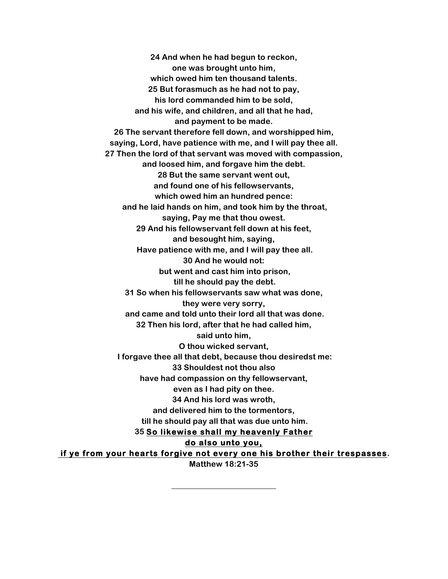**24 And when he had begun to reckon, one was brought unto him, which owed him ten thousand talents. 25 But forasmuch as he had not to pay, his lord commanded him to be sold, and his wife, and children, and all that he had, and payment to be made. 26 The servant therefore fell down, and worshipped him, saying, Lord, have patience with me, and I will pay thee all. 27 Then the lord of that servant was moved with compassion, and loosed him, and forgave him the debt. 28 But the same servant went out, and found one of his fellowservants, which owed him an hundred pence: and he laid hands on him, and took him by the throat, saying, Pay me that thou owest. 29 And his fellowservant fell down at his feet, and besought him, saying, Have patience with me, and I will pay thee all. 30 And he would not: but went and cast him into prison, till he should pay the debt. 31 So when his fellowservants saw what was done, they were very sorry, and came and told unto their lord all that was done. 32 Then his lord, after that he had called him, said unto him, O thou wicked servant, I forgave thee all that debt, because thou desiredst me: 33 Shouldest not thou also have had compassion on thy fellowservant, even as I had pity on thee. 34 And his lord was wroth, and delivered him to the tormentors, till he should pay all that was due unto him. 35 So likewise shall my heavenly Father do also unto you, if ye from your hearts forgive not every one his brother their trespasses.**

**Matthew 18:21-35**

**\_\_\_\_\_\_\_\_\_\_\_\_\_\_\_\_\_\_\_\_\_\_\_\_\_\_**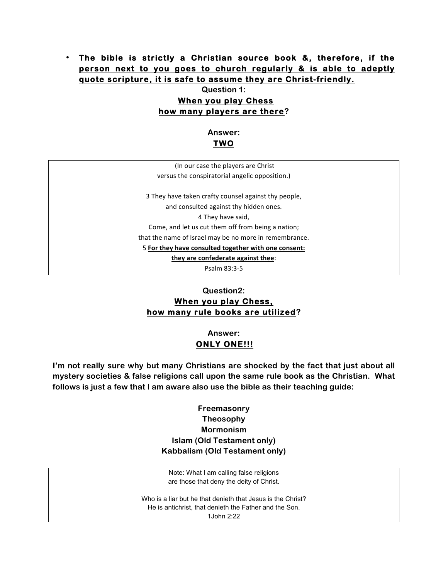## • **The bible is strictly a Christian source book &, therefore, if the person next to you goes to church regularly & is able to adeptly quote scripture, it is safe to assume they are Christ-friendly.**

### **Question 1: When you play Chess how many players are there?**

**Answer: TWO** 

(In our case the players are Christ versus the conspiratorial angelic opposition.)

3 They have taken crafty counsel against thy people, and consulted against thy hidden ones. 4 They have said, Come, and let us cut them off from being a nation; that the name of Israel may be no more in remembrance. 5 For they have consulted together with one consent:

they are confederate against thee:

Psalm 83:3-5

# **Question2: When you play Chess, how many rule books are utilized?**

## **Answer: ONLY ONE!!!**

**I'm not really sure why but many Christians are shocked by the fact that just about all mystery societies & false religions call upon the same rule book as the Christian. What follows is just a few that I am aware also use the bible as their teaching guide:**

## **Freemasonry Theosophy Mormonism Islam (Old Testament only) Kabbalism (Old Testament only)**

Note: What I am calling false religions are those that deny the deity of Christ.

Who is a liar but he that denieth that Jesus is the Christ? He is antichrist, that denieth the Father and the Son. 1John 2:22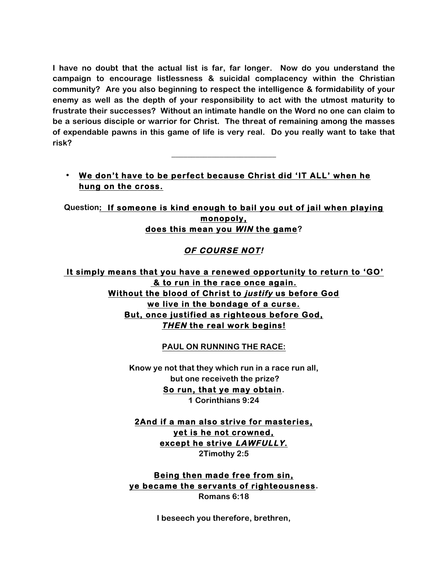**I have no doubt that the actual list is far, far longer. Now do you understand the campaign to encourage listlessness & suicidal complacency within the Christian community? Are you also beginning to respect the intelligence & formidability of your enemy as well as the depth of your responsibility to act with the utmost maturity to frustrate their successes? Without an intimate handle on the Word no one can claim to be a serious disciple or warrior for Christ. The threat of remaining among the masses of expendable pawns in this game of life is very real. Do you really want to take that risk?**

• **We don't have to be perfect because Christ did 'IT ALL' when he hung on the cross.** 

**\_\_\_\_\_\_\_\_\_\_\_\_\_\_\_\_\_\_\_\_\_\_\_\_\_\_**

**Question: If someone is kind enough to bail you out of jail when playing monopoly, does this mean you WIN the game?**

# **OF COURSE NOT!**

 **It simply means that you have a renewed opportunity to return to 'GO' & to run in the race once again. Without the blood of Christ to justify us before God we live in the bondage of a curse. But, once justified as righteous before God, THEN the real work begins!** 

### **PAUL ON RUNNING THE RACE:**

**Know ye not that they which run in a race run all, but one receiveth the prize? So run, that ye may obtain. 1 Corinthians 9:24**

**2And if a man also strive for masteries, yet is he not crowned, except he strive LAWFULLY. 2Timothy 2:5**

**Being then made free from sin, ye became the servants of righteousness. Romans 6:18**

**I beseech you therefore, brethren,**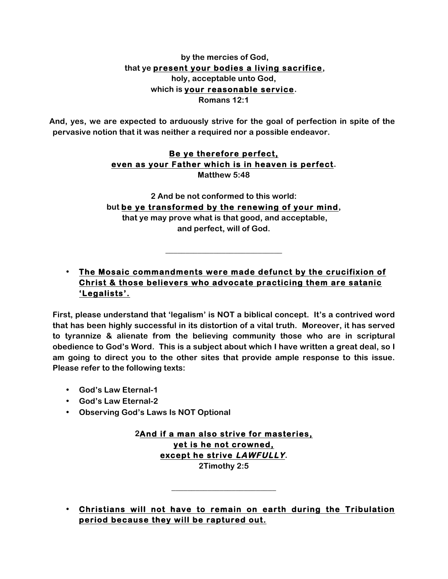### **by the mercies of God, that ye present your bodies a living sacrifice, holy, acceptable unto God, which is your reasonable service. Romans 12:1**

**And, yes, we are expected to arduously strive for the goal of perfection in spite of the pervasive notion that it was neither a required nor a possible endeavor.**

### **Be ye therefore perfect, even as your Father which is in heaven is perfect. Matthew 5:48**

**2 And be not conformed to this world: but be ye transformed by the renewing of your mind, that ye may prove what is that good, and acceptable, and perfect, will of God.**

**\_\_\_\_\_\_\_\_\_\_\_\_\_\_\_\_\_\_\_\_\_\_\_\_\_\_\_\_\_**

# • **The Mosaic commandments were made defunct by the crucifixion of Christ & those believers who advocate practicing them are satanic 'Legalists'.**

**First, please understand that 'legalism' is NOT a biblical concept. It's a contrived word that has been highly successful in its distortion of a vital truth. Moreover, it has served to tyrannize & alienate from the believing community those who are in scriptural obedience to God's Word. This is a subject about which I have written a great deal, so I am going to direct you to the other sites that provide ample response to this issue. Please refer to the following texts:**

- **God's Law Eternal-1**
- **God's Law Eternal-2**
- **Observing God's Laws Is NOT Optional**

**2And if a man also strive for masteries, yet is he not crowned, except he strive LAWFULLY. 2Timothy 2:5**

**\_\_\_\_\_\_\_\_\_\_\_\_\_\_\_\_\_\_\_\_\_\_\_\_\_\_**

• **Christians will not have to remain on earth during the Tribulation period because they will be raptured out.**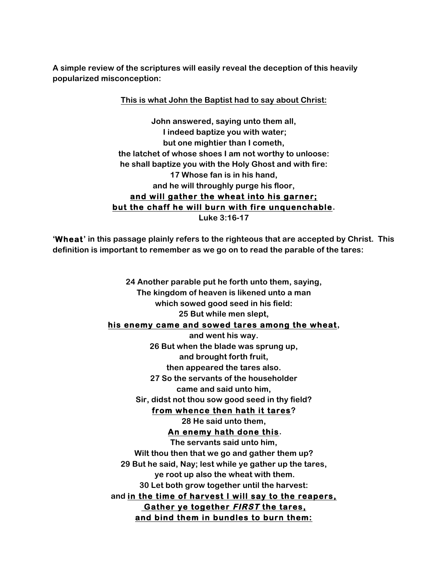**A simple review of the scriptures will easily reveal the deception of this heavily popularized misconception:**

### **This is what John the Baptist had to say about Christ:**

**John answered, saying unto them all, I indeed baptize you with water; but one mightier than I cometh, the latchet of whose shoes I am not worthy to unloose: he shall baptize you with the Holy Ghost and with fire: 17 Whose fan is in his hand, and he will throughly purge his floor, and will gather the wheat into his garner; but the chaff he will burn with fire unquenchable. Luke 3:16-17**

**'Wheat' in this passage plainly refers to the righteous that are accepted by Christ. This definition is important to remember as we go on to read the parable of the tares:**

> **24 Another parable put he forth unto them, saying, The kingdom of heaven is likened unto a man which sowed good seed in his field: 25 But while men slept, his enemy came and sowed tares among the wheat, and went his way. 26 But when the blade was sprung up, and brought forth fruit, then appeared the tares also. 27 So the servants of the householder came and said unto him, Sir, didst not thou sow good seed in thy field? from whence then hath it tares? 28 He said unto them, An enemy hath done this. The servants said unto him, Wilt thou then that we go and gather them up? 29 But he said, Nay; lest while ye gather up the tares, ye root up also the wheat with them. 30 Let both grow together until the harvest: and in the time of harvest I will say to the reapers, Gather ye together FIRST the tares, and bind them in bundles to burn them:**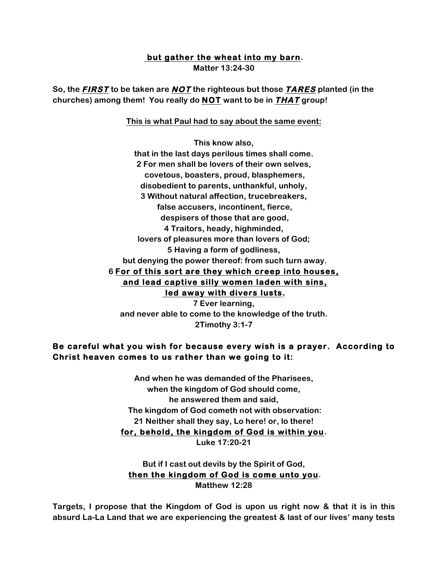#### **but gather the wheat into my barn.**

**Matter 13:24-30**

**So, the FIRST to be taken are NOT the righteous but those TARES planted (in the churches) among them! You really do NOT want to be in THAT group!** 

**This is what Paul had to say about the same event:**

**This know also, that in the last days perilous times shall come. 2 For men shall be lovers of their own selves, covetous, boasters, proud, blasphemers, disobedient to parents, unthankful, unholy, 3 Without natural affection, trucebreakers, false accusers, incontinent, fierce, despisers of those that are good, 4 Traitors, heady, highminded, lovers of pleasures more than lovers of God; 5 Having a form of godliness, but denying the power thereof: from such turn away. 6 For of this sort are they which creep into houses, and lead captive silly women laden with sins, led away with divers lusts, 7 Ever learning,** 

**and never able to come to the knowledge of the truth. 2Timothy 3:1-7**

## **Be careful what you wish for because every wish is a prayer. According to Christ heaven comes to us rather than we going to it:**

**And when he was demanded of the Pharisees, when the kingdom of God should come, he answered them and said, The kingdom of God cometh not with observation: 21 Neither shall they say, Lo here! or, lo there! for, behold, the kingdom of God is within you. Luke 17:20-21**

**But if I cast out devils by the Spirit of God, then the kingdom of God is come unto you. Matthew 12:28**

**Targets, I propose that the Kingdom of God is upon us right now & that it is in this absurd La-La Land that we are experiencing the greatest & last of our lives' many tests**